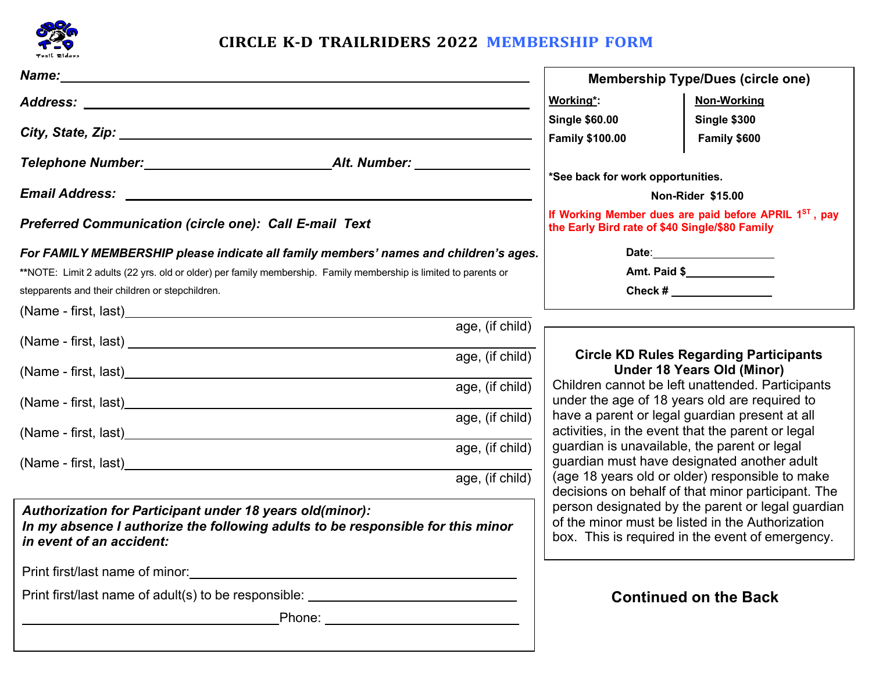

## **CIRCLE K-D TRAILRIDERS 2022 MEMBERSHIP FORM**

| Name: Name and the contract of the contract of the contract of the contract of the contract of the contract of the contract of the contract of the contract of the contract of the contract of the contract of the contract of | <b>Membership Type/Dues (circle one)</b>                                                                                                                                                                 |                              |  |
|--------------------------------------------------------------------------------------------------------------------------------------------------------------------------------------------------------------------------------|----------------------------------------------------------------------------------------------------------------------------------------------------------------------------------------------------------|------------------------------|--|
|                                                                                                                                                                                                                                | Working*:                                                                                                                                                                                                | <b>Non-Working</b>           |  |
|                                                                                                                                                                                                                                | <b>Single \$60.00</b><br><b>Family \$100.00</b>                                                                                                                                                          | Single \$300<br>Family \$600 |  |
|                                                                                                                                                                                                                                | *See back for work opportunities.                                                                                                                                                                        |                              |  |
|                                                                                                                                                                                                                                | Non-Rider \$15.00                                                                                                                                                                                        |                              |  |
| <b>Preferred Communication (circle one): Call E-mail Text</b>                                                                                                                                                                  | If Working Member dues are paid before APRIL 1ST, pay<br>the Early Bird rate of \$40 Single/\$80 Family                                                                                                  |                              |  |
| For FAMILY MEMBERSHIP please indicate all family members' names and children's ages.                                                                                                                                           |                                                                                                                                                                                                          |                              |  |
| **NOTE: Limit 2 adults (22 yrs. old or older) per family membership. Family membership is limited to parents or                                                                                                                | Amt. Paid \$                                                                                                                                                                                             |                              |  |
| stepparents and their children or stepchildren.                                                                                                                                                                                | Check # $\_$                                                                                                                                                                                             |                              |  |
| age, (if child)                                                                                                                                                                                                                |                                                                                                                                                                                                          |                              |  |
|                                                                                                                                                                                                                                |                                                                                                                                                                                                          |                              |  |
| age, (if child)                                                                                                                                                                                                                | <b>Circle KD Rules Regarding Participants</b><br><b>Under 18 Years Old (Minor)</b>                                                                                                                       |                              |  |
| age, (if child)                                                                                                                                                                                                                | Children cannot be left unattended. Participants<br>under the age of 18 years old are required to<br>have a parent or legal guardian present at all<br>activities, in the event that the parent or legal |                              |  |
| age, (if child)                                                                                                                                                                                                                |                                                                                                                                                                                                          |                              |  |
| age, (if child)                                                                                                                                                                                                                | guardian is unavailable, the parent or legal<br>guardian must have designated another adult<br>(age 18 years old or older) responsible to make<br>decisions on behalf of that minor participant. The     |                              |  |
| age, (if child)                                                                                                                                                                                                                |                                                                                                                                                                                                          |                              |  |
| <b>Authorization for Participant under 18 years old(minor):</b><br>In my absence I authorize the following adults to be responsible for this minor<br>in event of an accident:                                                 | person designated by the parent or legal guardian<br>of the minor must be listed in the Authorization<br>box. This is required in the event of emergency.                                                |                              |  |
|                                                                                                                                                                                                                                |                                                                                                                                                                                                          |                              |  |
| Print first/last name of adult(s) to be responsible: ___________________________                                                                                                                                               | <b>Continued on the Back</b>                                                                                                                                                                             |                              |  |
| Phone: _______________________________                                                                                                                                                                                         |                                                                                                                                                                                                          |                              |  |